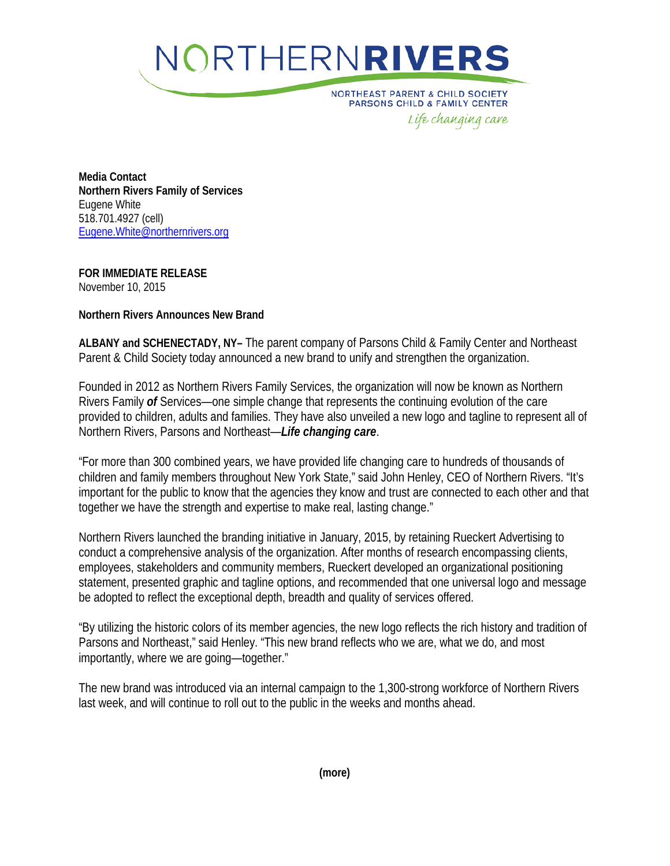

**NORTHEAST PARENT & CHILD SOCIETY** PARSONS CHILD & FAMILY CENTER Life changing care

**Media Contact Northern Rivers Family of Services** Eugene White 518.701.4927 (cell) [Eugene.White@northernrivers.org](mailto:Eugene.White@northernrivers.org)

**FOR IMMEDIATE RELEASE** November 10, 2015

## **Northern Rivers Announces New Brand**

**ALBANY and SCHENECTADY, NY–** The parent company of Parsons Child & Family Center and Northeast Parent & Child Society today announced a new brand to unify and strengthen the organization.

Founded in 2012 as Northern Rivers Family Services, the organization will now be known as Northern Rivers Family *of* Services—one simple change that represents the continuing evolution of the care provided to children, adults and families. They have also unveiled a new logo and tagline to represent all of Northern Rivers, Parsons and Northeast—*Life changing care*.

"For more than 300 combined years, we have provided life changing care to hundreds of thousands of children and family members throughout New York State," said John Henley, CEO of Northern Rivers. "It's important for the public to know that the agencies they know and trust are connected to each other and that together we have the strength and expertise to make real, lasting change."

Northern Rivers launched the branding initiative in January, 2015, by retaining Rueckert Advertising to conduct a comprehensive analysis of the organization. After months of research encompassing clients, employees, stakeholders and community members, Rueckert developed an organizational positioning statement, presented graphic and tagline options, and recommended that one universal logo and message be adopted to reflect the exceptional depth, breadth and quality of services offered.

"By utilizing the historic colors of its member agencies, the new logo reflects the rich history and tradition of Parsons and Northeast," said Henley. "This new brand reflects who we are, what we do, and most importantly, where we are going—together."

The new brand was introduced via an internal campaign to the 1,300-strong workforce of Northern Rivers last week, and will continue to roll out to the public in the weeks and months ahead.